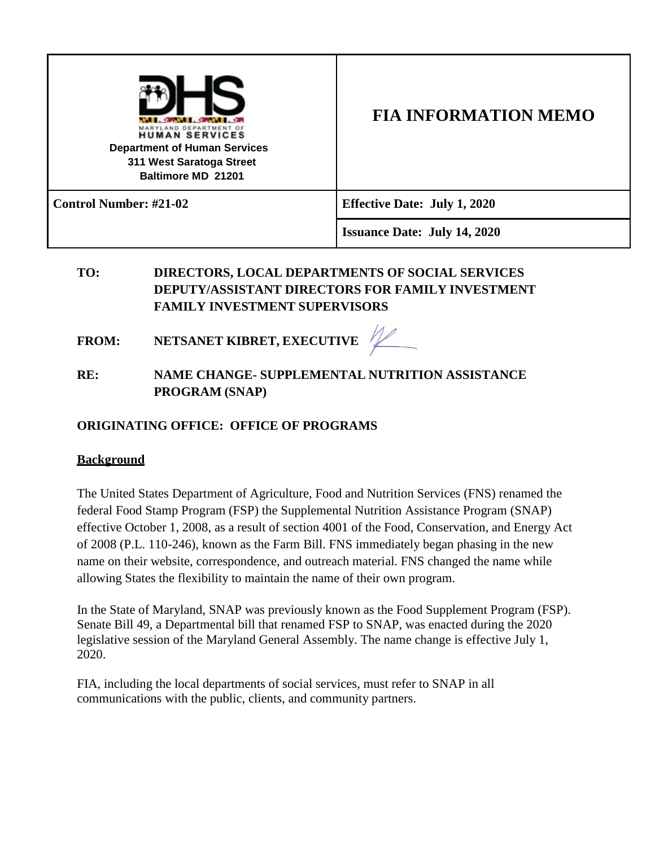| <b>HUMAN SERVICES</b><br><b>Department of Human Services</b><br>311 West Saratoga Street<br>Baltimore MD 21201 | <b>FIA INFORMATION MEMO</b>         |
|----------------------------------------------------------------------------------------------------------------|-------------------------------------|
| <b>Control Number: #21-02</b>                                                                                  | <b>Effective Date: July 1, 2020</b> |
|                                                                                                                | <b>Issuance Date: July 14, 2020</b> |

## **TO: DIRECTORS, LOCAL DEPARTMENTS OF SOCIAL SERVICES DEPUTY/ASSISTANT DIRECTORS FOR FAMILY INVESTMENT FAMILY INVESTMENT SUPERVISORS**

- **FROM: NETSANET KIBRET, EXECUTIVE**
- **RE: NAME CHANGE- SUPPLEMENTAL NUTRITION ASSISTANCE PROGRAM (SNAP)**

## **ORIGINATING OFFICE: OFFICE OF PROGRAMS**

## **Background**

The United States Department of Agriculture, Food and Nutrition Services (FNS) renamed the federal Food Stamp Program (FSP) the Supplemental Nutrition Assistance Program (SNAP) effective October 1, 2008, as a result of section 4001 of the Food, Conservation, and Energy Act of 2008 (P.L. 110-246), known as the Farm Bill. FNS immediately began phasing in the new name on their website, correspondence, and outreach material. FNS changed the name while allowing States the flexibility to maintain the name of their own program.

In the State of Maryland, SNAP was previously known as the Food Supplement Program (FSP). Senate Bill 49, a Departmental bill that renamed FSP to SNAP, was enacted during the 2020 legislative session of the Maryland General Assembly. The name change is effective July 1, 2020.

FIA, including the local departments of social services, must refer to SNAP in all communications with the public, clients, and community partners.